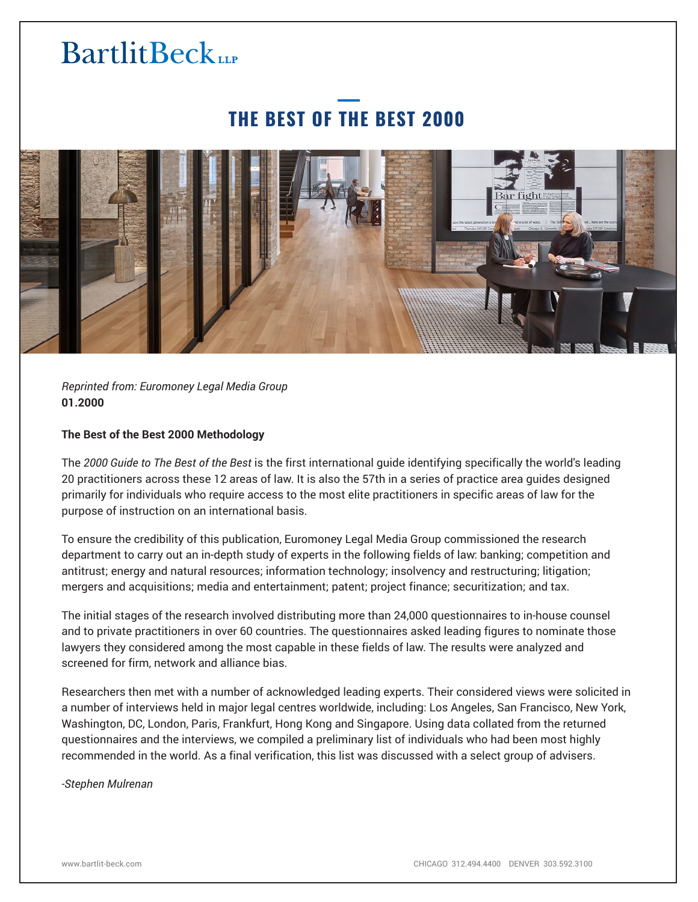# **BartlitBeck**

### **THE BEST OF THE BEST 2000**



*Reprinted from: Euromoney Legal Media Group* **01.2000**

#### **The Best of the Best 2000 Methodology**

The *2000 Guide to The Best of the Best* is the first international guide identifying specifically the world's leading 20 practitioners across these 12 areas of law. It is also the 57th in a series of practice area guides designed primarily for individuals who require access to the most elite practitioners in specific areas of law for the purpose of instruction on an international basis.

To ensure the credibility of this publication, Euromoney Legal Media Group commissioned the research department to carry out an in-depth study of experts in the following fields of law: banking; competition and antitrust; energy and natural resources; information technology; insolvency and restructuring; litigation; mergers and acquisitions; media and entertainment; patent; project finance; securitization; and tax.

The initial stages of the research involved distributing more than 24,000 questionnaires to in-house counsel and to private practitioners in over 60 countries. The questionnaires asked leading figures to nominate those lawyers they considered among the most capable in these fields of law. The results were analyzed and screened for firm, network and alliance bias.

Researchers then met with a number of acknowledged leading experts. Their considered views were solicited in a number of interviews held in major legal centres worldwide, including: Los Angeles, San Francisco, New York, Washington, DC, London, Paris, Frankfurt, Hong Kong and Singapore. Using data collated from the returned questionnaires and the interviews, we compiled a preliminary list of individuals who had been most highly recommended in the world. As a final verification, this list was discussed with a select group of advisers.

*-Stephen Mulrenan*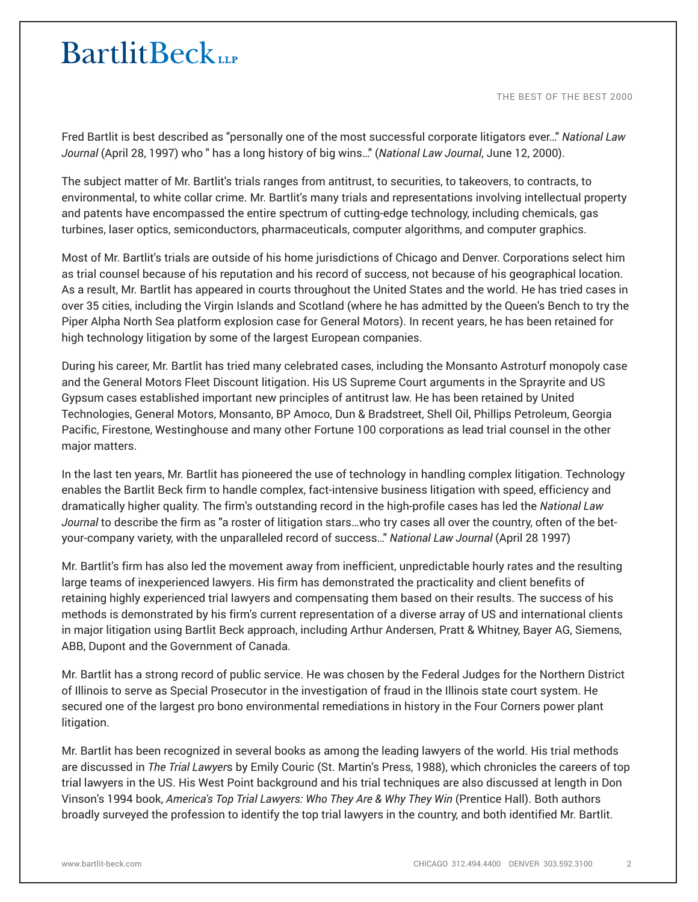# **BartlitBeck**

THE BEST OF THE BEST 2000

Fred Bartlit is best described as "personally one of the most successful corporate litigators ever…" *National Law Journal* (April 28, 1997) who " has a long history of big wins…" (*National Law Journal*, June 12, 2000).

The subject matter of Mr. Bartlit's trials ranges from antitrust, to securities, to takeovers, to contracts, to environmental, to white collar crime. Mr. Bartlit's many trials and representations involving intellectual property and patents have encompassed the entire spectrum of cutting-edge technology, including chemicals, gas turbines, laser optics, semiconductors, pharmaceuticals, computer algorithms, and computer graphics.

Most of Mr. Bartlit's trials are outside of his home jurisdictions of Chicago and Denver. Corporations select him as trial counsel because of his reputation and his record of success, not because of his geographical location. As a result, Mr. Bartlit has appeared in courts throughout the United States and the world. He has tried cases in over 35 cities, including the Virgin Islands and Scotland (where he has admitted by the Queen's Bench to try the Piper Alpha North Sea platform explosion case for General Motors). In recent years, he has been retained for high technology litigation by some of the largest European companies.

During his career, Mr. Bartlit has tried many celebrated cases, including the Monsanto Astroturf monopoly case and the General Motors Fleet Discount litigation. His US Supreme Court arguments in the Sprayrite and US Gypsum cases established important new principles of antitrust law. He has been retained by United Technologies, General Motors, Monsanto, BP Amoco, Dun & Bradstreet, Shell Oil, Phillips Petroleum, Georgia Pacific, Firestone, Westinghouse and many other Fortune 100 corporations as lead trial counsel in the other major matters.

In the last ten years, Mr. Bartlit has pioneered the use of technology in handling complex litigation. Technology enables the Bartlit Beck firm to handle complex, fact-intensive business litigation with speed, efficiency and dramatically higher quality. The firm's outstanding record in the high-profile cases has led the *National Law Journal* to describe the firm as "a roster of litigation stars…who try cases all over the country, often of the betyour-company variety, with the unparalleled record of success…" *National Law Journal* (April 28 1997)

Mr. Bartlit's firm has also led the movement away from inefficient, unpredictable hourly rates and the resulting large teams of inexperienced lawyers. His firm has demonstrated the practicality and client benefits of retaining highly experienced trial lawyers and compensating them based on their results. The success of his methods is demonstrated by his firm's current representation of a diverse array of US and international clients in major litigation using Bartlit Beck approach, including Arthur Andersen, Pratt & Whitney, Bayer AG, Siemens, ABB, Dupont and the Government of Canada.

Mr. Bartlit has a strong record of public service. He was chosen by the Federal Judges for the Northern District of Illinois to serve as Special Prosecutor in the investigation of fraud in the Illinois state court system. He secured one of the largest pro bono environmental remediations in history in the Four Corners power plant litigation.

Mr. Bartlit has been recognized in several books as among the leading lawyers of the world. His trial methods are discussed in *The Trial Lawyer*s by Emily Couric (St. Martin's Press, 1988), which chronicles the careers of top trial lawyers in the US. His West Point background and his trial techniques are also discussed at length in Don Vinson's 1994 book, *America's Top Trial Lawyers: Who They Are & Why They Win* (Prentice Hall). Both authors broadly surveyed the profession to identify the top trial lawyers in the country, and both identified Mr. Bartlit.